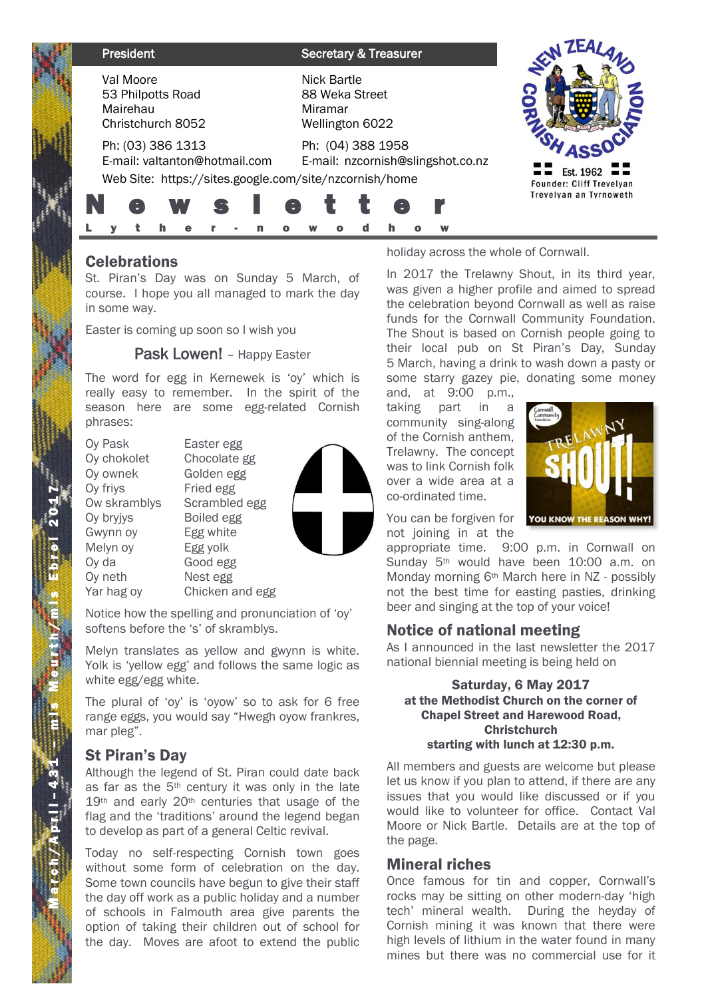| President                                                                                                    | <b>Secretary &amp; Treasurer</b>                            |                                                                 |
|--------------------------------------------------------------------------------------------------------------|-------------------------------------------------------------|-----------------------------------------------------------------|
| Val Moore<br>53 Philpotts Road<br>Mairehau<br>Christchurch 8052                                              | Nick Bartle<br>88 Weka Street<br>Miramar<br>Wellington 6022 |                                                                 |
| Ph: (03) 386 1313<br>E-mail: valtanton@hotmail.com<br>Web Site: https://sites.google.com/site/nzcornish/home | Ph: (04) 388 1958<br>E-mail: nzcornish@slingshot.co.nz<br>e | Est. 1962<br>Founder: Cliff Trevelyan<br>Trevelyan an Tyrnoweth |
|                                                                                                              |                                                             |                                                                 |

# **Celebrations**

St. Piran's Day was on Sunday 5 March, of course. I hope you all managed to mark the day in some way.

Easter is coming up soon so I wish you

### Pask Lowen! - Happy Easter

The word for egg in Kernewek is 'oy' which is really easy to remember. In the spirit of the season here are some egg-related Cornish phrases:

Oy Pask Easter egg Oy chokolet Chocolate gg Oy ownek Golden egg Oy friys Fried egg Ow skramblys Scrambled egg Ov bryjys Boiled egg Gwynn oy Egg white Melyn oy Egg yolk Oy da Good egg Oy neth Nest egg Yar hag ov Chicken and egg



Notice how the spelling and pronunciation of 'oy' softens before the 's' of skramblys.

Melyn translates as yellow and gwynn is white. Yolk is 'yellow egg' and follows the same logic as white egg/egg white.

The plural of 'oy' is 'oyow' so to ask for 6 free range eggs, you would say "Hwegh oyow frankres, mar pleg".

# St Piran's Day

M a r c h  $/$  A p r i l -

51

3 1 – m i s M e u r t h / m i s E b r e l 201

1

Although the legend of St. Piran could date back as far as the 5th century it was only in the late 19<sup>th</sup> and early 20<sup>th</sup> centuries that usage of the flag and the 'traditions' around the legend began to develop as part of a general Celtic revival.

Today no self-respecting Cornish town goes without some form of celebration on the day. Some town councils have begun to give their staff the day off work as a public holiday and a number of schools in Falmouth area give parents the option of taking their children out of school for the day. Moves are afoot to extend the public

holiday across the whole of Cornwall.

In 2017 the Trelawny Shout, in its third year, was given a higher profile and aimed to spread the celebration beyond Cornwall as well as raise funds for the Cornwall Community Foundation. The Shout is based on Cornish people going to their local pub on St Piran's Day, Sunday 5 March, having a drink to wash down a pasty or some starry gazey pie, donating some money

and, at 9:00 p.m., taking part in a community sing-along of the Cornish anthem, Trelawny. The concept was to link Cornish folk over a wide area at a co-ordinated time.



You can be forgiven for not joining in at the

appropriate time. 9:00 p.m. in Cornwall on Sunday 5th would have been 10:00 a.m. on Monday morning 6th March here in NZ - possibly not the best time for easting pasties, drinking beer and singing at the top of your voice!

# Notice of national meeting

As I announced in the last newsletter the 2017 national biennial meeting is being held on

#### Saturday, 6 May 2017 at the Methodist Church on the corner of Chapel Street and Harewood Road, **Christchurch** starting with lunch at 12:30 p.m.

All members and guests are welcome but please let us know if you plan to attend, if there are any issues that you would like discussed or if you would like to volunteer for office. Contact Val Moore or Nick Bartle. Details are at the top of the page.

# Mineral riches

Once famous for tin and copper, Cornwall's rocks may be sitting on other modern-day 'high tech' mineral wealth. During the heyday of Cornish mining it was known that there were high levels of lithium in the water found in many mines but there was no commercial use for it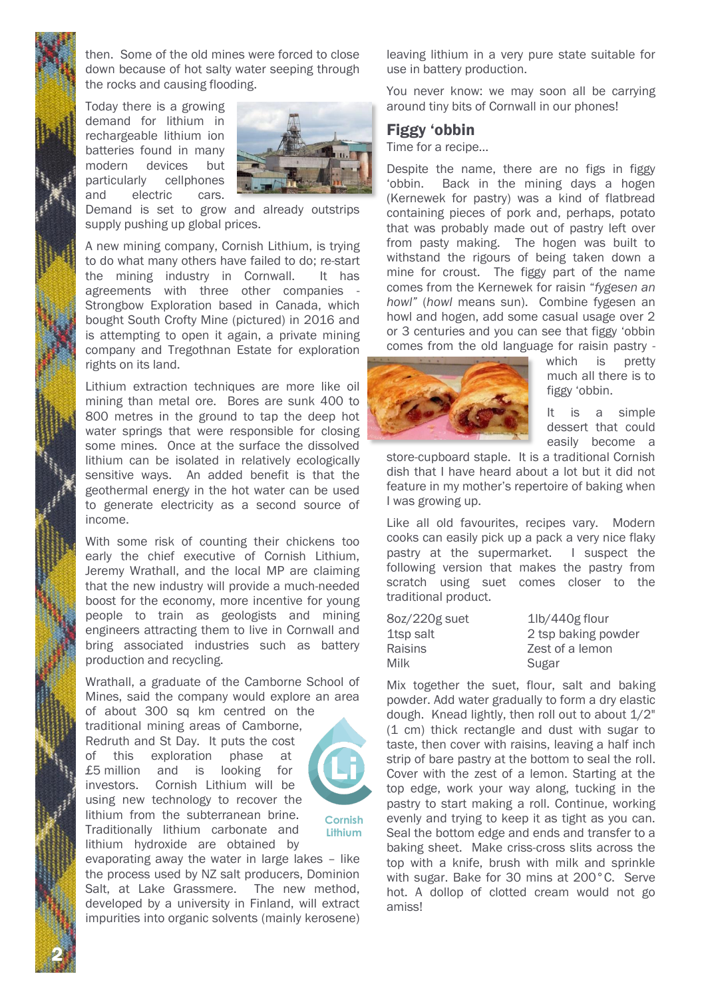then. Some of the old mines were forced to close down because of hot salty water seeping through the rocks and causing flooding.

Today there is a growing demand for lithium in rechargeable lithium ion batteries found in many modern devices but particularly cellphones and electric cars.



Demand is set to grow and already outstrips supply pushing up global prices.

A new mining company, Cornish Lithium, is trying to do what many others have failed to do; re-start the mining industry in Cornwall. It has agreements with three other companies - Strongbow Exploration based in Canada, which bought South Crofty Mine (pictured) in 2016 and is attempting to open it again, a private mining company and Tregothnan Estate for exploration rights on its land.

Lithium extraction techniques are more like oil mining than metal ore. Bores are sunk 400 to 800 metres in the ground to tap the deep hot water springs that were responsible for closing some mines. Once at the surface the dissolved lithium can be isolated in relatively ecologically sensitive ways. An added benefit is that the geothermal energy in the hot water can be used to generate electricity as a second source of income.

With some risk of counting their chickens too early the chief executive of Cornish Lithium, Jeremy Wrathall, and the local MP are claiming that the new industry will provide a much-needed boost for the economy, more incentive for young people to train as geologists and mining engineers attracting them to live in Cornwall and bring associated industries such as battery production and recycling.

Wrathall, a graduate of the Camborne School of Mines, said the company would explore an area of about 300 sq km centred on the traditional mining areas of Camborne, Redruth and St Day. It puts the cost of this exploration phase at £5 million and is looking for investors. Cornish Lithium will be using new technology to recover the lithium from the subterranean brine. Traditionally lithium carbonate and lithium hydroxide are obtained by



**Cornish Lithium**

evaporating away the water in large lakes – like the process used by NZ salt producers, Dominion Salt, at Lake Grassmere. The new method, developed by a university in Finland, will extract impurities into organic solvents (mainly kerosene)

2 N

leaving lithium in a very pure state suitable for use in battery production.

You never know: we may soon all be carrying around tiny bits of Cornwall in our phones!

#### Figgy 'obbin

Time for a recipe…

Despite the name, there are no figs in figgy 'obbin. Back in the mining days a hogen (Kernewek for pastry) was a kind of flatbread containing pieces of pork and, perhaps, potato that was probably made out of pastry left over from pasty making. The hogen was built to withstand the rigours of being taken down a mine for croust. The figgy part of the name comes from the Kernewek for raisin "*fygesen an howl"* (*howl* means sun). Combine fygesen an howl and hogen, add some casual usage over 2 or 3 centuries and you can see that figgy 'obbin comes from the old language for raisin pastry -



which is pretty much all there is to figgy 'obbin.

It is a simple dessert that could easily become a

store-cupboard staple. It is a traditional Cornish dish that I have heard about a lot but it did not feature in my mother's repertoire of baking when I was growing up.

Like all old favourites, recipes vary. Modern cooks can easily pick up a pack a very nice flaky pastry at the supermarket. I suspect the following version that makes the pastry from scratch using suet comes closer to the traditional product.

| 8oz/220g suet | 1lb/440g flour      |
|---------------|---------------------|
| 1tsp salt     | 2 tsp baking powder |
| Raisins       | Zest of a lemon     |
| Milk          | Sugar               |

Mix together the suet, flour, salt and baking powder. Add water gradually to form a dry elastic dough. Knead lightly, then roll out to about 1/2" (1 cm) thick rectangle and dust with sugar to taste, then cover with raisins, leaving a half inch strip of bare pastry at the bottom to seal the roll. Cover with the zest of a lemon. Starting at the top edge, work your way along, tucking in the pastry to start making a roll. Continue, working evenly and trying to keep it as tight as you can. Seal the bottom edge and ends and transfer to a baking sheet. Make criss-cross slits across the top with a knife, brush with milk and sprinkle with sugar. Bake for 30 mins at 200°C. Serve hot. A dollop of clotted cream would not go amiss!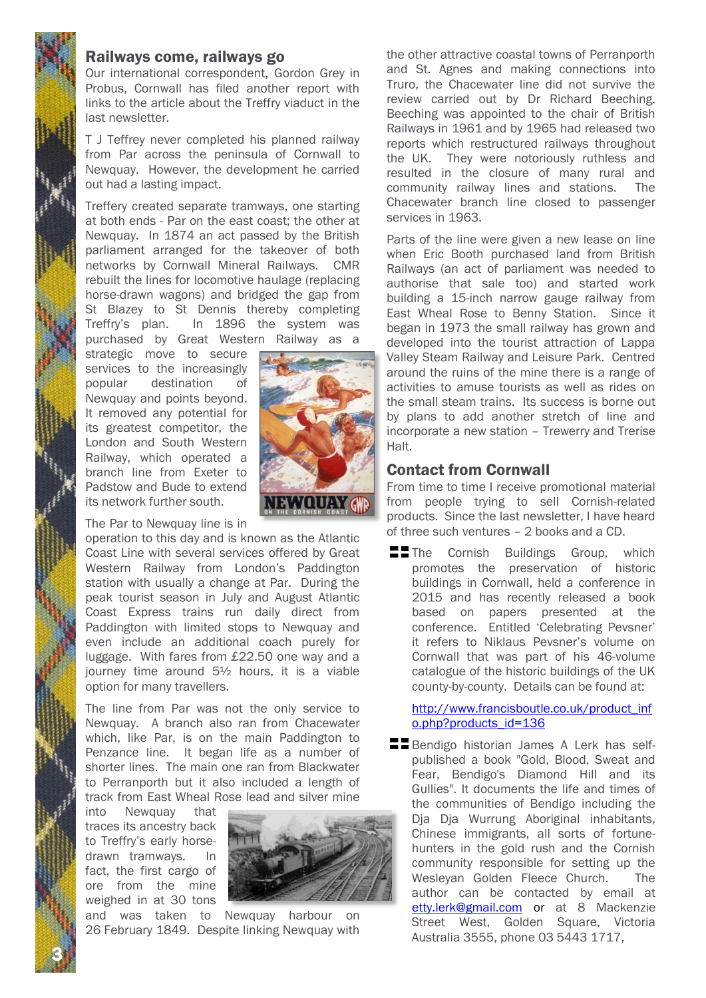# Railways come, railways go

Our international correspondent, Gordon Grey in Probus, Cornwall has filed another report with links to the article about the Treffry viaduct in the last newsletter.

T J Teffrey never completed his planned railway from Par across the peninsula of Cornwall to Newquay. However, the development he carried out had a lasting impact.

Treffery created separate tramways, one starting at both ends - Par on the east coast; the other at Newquay. In 1874 an act passed by the British parliament arranged for the takeover of both networks by Cornwall Mineral Railways. CMR rebuilt the lines for locomotive haulage (replacing horse-drawn wagons) and bridged the gap from St Blazey to St Dennis thereby completing Treffry's plan. In 1896 the system was purchased by Great Western Railway as a

strategic move to secure services to the increasingly popular destination of Newquay and points beyond. It removed any potential for its greatest competitor, the London and South Western Railway, which operated a branch line from Exeter to Padstow and Bude to extend its network further south.

The Par to Newquay line is in

operation to this day and is known as the Atlantic Coast Line with several services offered by Great Western Railway from London's Paddington station with usually a change at Par. During the peak tourist season in July and August Atlantic Coast Express trains run daily direct from Paddington with limited stops to Newquay and even include an additional coach purely for luggage. With fares from £22.50 one way and a journey time around 5½ hours, it is a viable option for many travellers.

The line from Par was not the only service to Newquay. A branch also ran from Chacewater which, like Par, is on the main Paddington to Penzance line. It began life as a number of shorter lines. The main one ran from Blackwater to Perranporth but it also included a length of track from East Wheal Rose lead and silver mine

into Newquay that traces its ancestry back to Treffry's early horsedrawn tramways. In fact, the first cargo of ore from the mine weighed in at 30 tons

3 N



**WOUAY GWR** 

and was taken to Newquay harbour on 26 February 1849. Despite linking Newquay with the other attractive coastal towns of Perranporth and St. Agnes and making connections into Truro, the Chacewater line did not survive the review carried out by Dr Richard Beeching. Beeching was appointed to the chair of British Railways in 1961 and by 1965 had released two reports which restructured railways throughout the UK. They were notoriously ruthless and resulted in the closure of many rural and community railway lines and stations. The Chacewater branch line closed to passenger services in 1963.

Parts of the line were given a new lease on line when Eric Booth purchased land from British Railways (an act of parliament was needed to authorise that sale too) and started work building a 15-inch narrow gauge railway from East Wheal Rose to Benny Station. Since it began in 1973 the small railway has grown and developed into the tourist attraction of Lappa Valley Steam Railway and Leisure Park. Centred around the ruins of the mine there is a range of activities to amuse tourists as well as rides on the small steam trains. Its success is borne out by plans to add another stretch of line and incorporate a new station – Trewerry and Trerise Halt.

# Contact from Cornwall

From time to time I receive promotional material from people trying to sell Cornish-related products. Since the last newsletter, I have heard of three such ventures – 2 books and a CD.

**The Cornish Buildings Group, which** promotes the preservation of historic buildings in Cornwall, held a conference in 2015 and has recently released a book based on papers presented at the conference. Entitled 'Celebrating Pevsner' it refers to Niklaus Pevsner's volume on Cornwall that was part of his 46-volume catalogue of the historic buildings of the UK county-by-county. Details can be found at:

[http://www.francisboutle.co.uk/product\\_inf](http://www.francisboutle.co.uk/product_info.php?products_id=136) [o.php?products\\_id=136](http://www.francisboutle.co.uk/product_info.php?products_id=136)

**Bendigo historian James A Lerk has self**published a book "Gold, Blood, Sweat and Fear, Bendigo's Diamond Hill and its Gullies". It documents the life and times of the communities of Bendigo including the Dja Dja Wurrung Aboriginal inhabitants, Chinese immigrants, all sorts of fortunehunters in the gold rush and the Cornish community responsible for setting up the Wesleyan Golden Fleece Church. The author can be contacted by email at [etty.lerk@gmail.com](mailto:etty.lerk@gmail.com) or at 8 Mackenzie Street West, Golden Square, Victoria Australia 3555, phone 03 5443 1717,